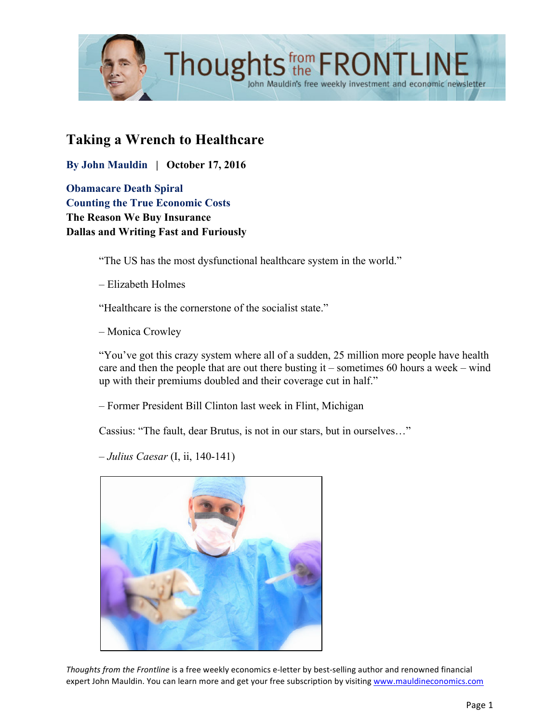

# **Taking a Wrench to Healthcare**

**By John Mauldin | October 17, 2016**

**Obamacare Death Spiral Counting the True Economic Costs The Reason We Buy Insurance Dallas and Writing Fast and Furiously**

"The US has the most dysfunctional healthcare system in the world."

– Elizabeth Holmes

"Healthcare is the cornerstone of the socialist state."

– Monica Crowley

"You've got this crazy system where all of a sudden, 25 million more people have health care and then the people that are out there busting it – sometimes 60 hours a week – wind up with their premiums doubled and their coverage cut in half."

– Former President Bill Clinton last week in Flint, Michigan

Cassius: "The fault, dear Brutus, is not in our stars, but in ourselves…"

*– Julius Caesar* (I, ii, 140-141)

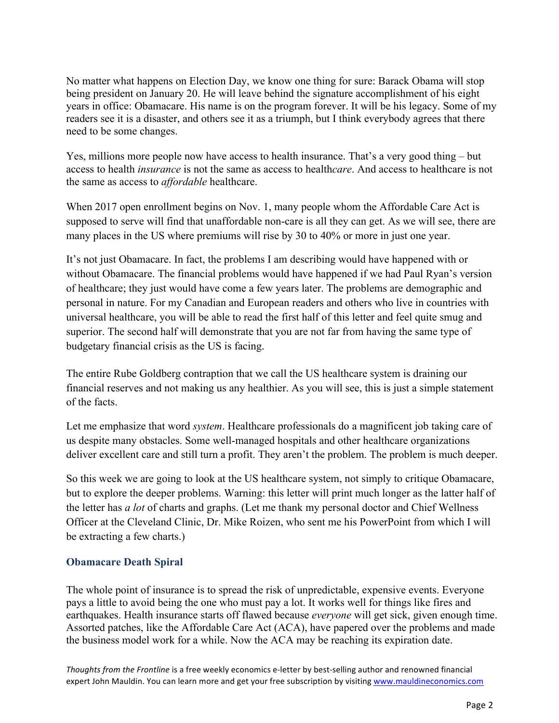No matter what happens on Election Day, we know one thing for sure: Barack Obama will stop being president on January 20. He will leave behind the signature accomplishment of his eight years in office: Obamacare. His name is on the program forever. It will be his legacy. Some of my readers see it is a disaster, and others see it as a triumph, but I think everybody agrees that there need to be some changes.

Yes, millions more people now have access to health insurance. That's a very good thing – but access to health *insurance* is not the same as access to health*care*. And access to healthcare is not the same as access to *affordable* healthcare.

When 2017 open enrollment begins on Nov. 1, many people whom the Affordable Care Act is supposed to serve will find that unaffordable non-care is all they can get. As we will see, there are many places in the US where premiums will rise by 30 to 40% or more in just one year.

It's not just Obamacare. In fact, the problems I am describing would have happened with or without Obamacare. The financial problems would have happened if we had Paul Ryan's version of healthcare; they just would have come a few years later. The problems are demographic and personal in nature. For my Canadian and European readers and others who live in countries with universal healthcare, you will be able to read the first half of this letter and feel quite smug and superior. The second half will demonstrate that you are not far from having the same type of budgetary financial crisis as the US is facing.

The entire Rube Goldberg contraption that we call the US healthcare system is draining our financial reserves and not making us any healthier. As you will see, this is just a simple statement of the facts.

Let me emphasize that word *system*. Healthcare professionals do a magnificent job taking care of us despite many obstacles. Some well-managed hospitals and other healthcare organizations deliver excellent care and still turn a profit. They aren't the problem. The problem is much deeper.

So this week we are going to look at the US healthcare system, not simply to critique Obamacare, but to explore the deeper problems. Warning: this letter will print much longer as the latter half of the letter has *a lot* of charts and graphs. (Let me thank my personal doctor and Chief Wellness Officer at the Cleveland Clinic, Dr. Mike Roizen, who sent me his PowerPoint from which I will be extracting a few charts.)

### **Obamacare Death Spiral**

The whole point of insurance is to spread the risk of unpredictable, expensive events. Everyone pays a little to avoid being the one who must pay a lot. It works well for things like fires and earthquakes. Health insurance starts off flawed because *everyone* will get sick, given enough time. Assorted patches, like the Affordable Care Act (ACA), have papered over the problems and made the business model work for a while. Now the ACA may be reaching its expiration date.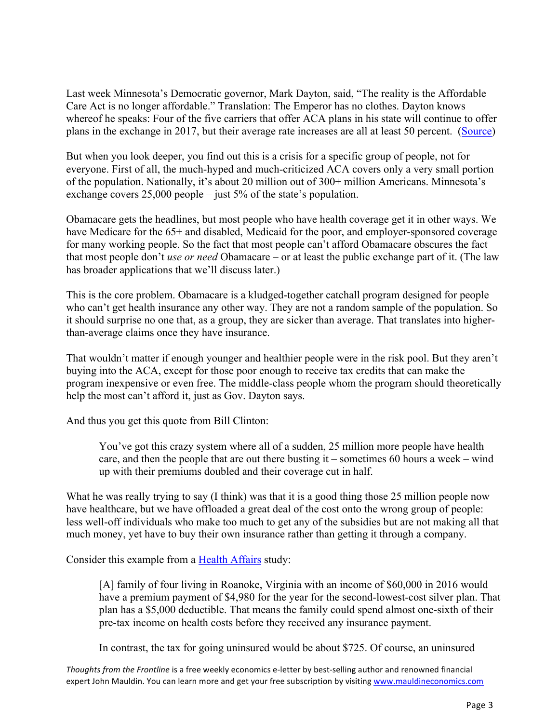Last week Minnesota's Democratic governor, Mark Dayton, said, "The reality is the Affordable Care Act is no longer affordable." Translation: The Emperor has no clothes. Dayton knows whereof he speaks: Four of the five carriers that offer ACA plans in his state will continue to offer plans in the exchange in 2017, but their average rate increases are all at least 50 percent. [\(Source\)](https://www.healthinsurance.org/minnesota-state-health-insurance-exchange/)

But when you look deeper, you find out this is a crisis for a specific group of people, not for everyone. First of all, the much-hyped and much-criticized ACA covers only a very small portion of the population. Nationally, it's about 20 million out of 300+ million Americans. Minnesota's exchange covers 25,000 people – just 5% of the state's population.

Obamacare gets the headlines, but most people who have health coverage get it in other ways. We have Medicare for the 65+ and disabled, Medicaid for the poor, and employer-sponsored coverage for many working people. So the fact that most people can't afford Obamacare obscures the fact that most people don't *use or need* Obamacare – or at least the public exchange part of it. (The law has broader applications that we'll discuss later.)

This is the core problem. Obamacare is a kludged-together catchall program designed for people who can't get health insurance any other way. They are not a random sample of the population. So it should surprise no one that, as a group, they are sicker than average. That translates into higherthan-average claims once they have insurance.

That wouldn't matter if enough younger and healthier people were in the risk pool. But they aren't buying into the ACA, except for those poor enough to receive tax credits that can make the program inexpensive or even free. The middle-class people whom the program should theoretically help the most can't afford it, just as Gov. Dayton says.

And thus you get this quote from Bill Clinton:

You've got this crazy system where all of a sudden, 25 million more people have health care, and then the people that are out there busting it – sometimes 60 hours a week – wind up with their premiums doubled and their coverage cut in half.

What he was really trying to say (I think) was that it is a good thing those 25 million people now have healthcare, but we have offloaded a great deal of the cost onto the wrong group of people: less well-off individuals who make too much to get any of the subsidies but are not making all that much money, yet have to buy their own insurance rather than getting it through a company.

Consider this example from a [Health Affairs](http://healthaffairs.org/blog/2016/10/11/the-future-of-the-acas-exchanges/) study:

[A] family of four living in Roanoke, Virginia with an income of \$60,000 in 2016 would have a premium payment of \$4,980 for the year for the second-lowest-cost silver plan. That plan has a \$5,000 deductible. That means the family could spend almost one-sixth of their pre-tax income on health costs before they received any insurance payment.

In contrast, the tax for going uninsured would be about \$725. Of course, an uninsured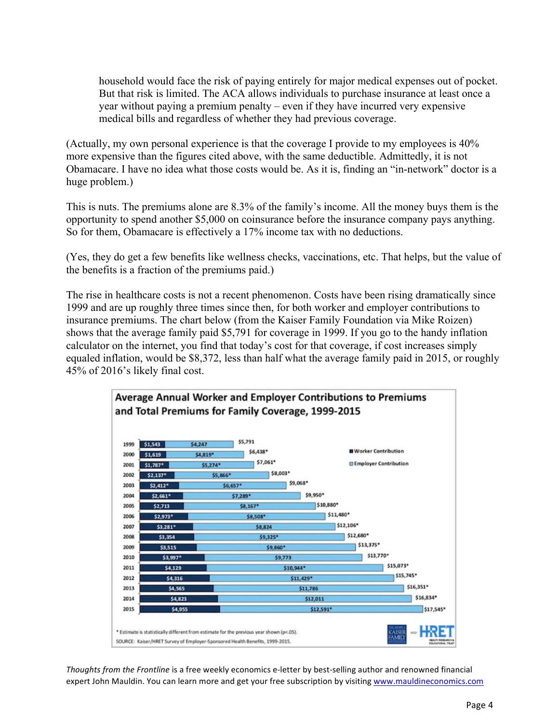household would face the risk of paying entirely for major medical expenses out of pocket. But that risk is limited. The ACA allows individuals to purchase insurance at least once a year without paying a premium penalty – even if they have incurred very expensive medical bills and regardless of whether they had previous coverage.

(Actually, my own personal experience is that the coverage I provide to my employees is 40% more expensive than the figures cited above, with the same deductible. Admittedly, it is not Obamacare. I have no idea what those costs would be. As it is, finding an "in-network" doctor is a huge problem.)

This is nuts. The premiums alone are 8.3% of the family's income. All the money buys them is the opportunity to spend another \$5,000 on coinsurance before the insurance company pays anything. So for them, Obamacare is effectively a 17% income tax with no deductions.

(Yes, they do get a few benefits like wellness checks, vaccinations, etc. That helps, but the value of the benefits is a fraction of the premiums paid.)

The rise in healthcare costs is not a recent phenomenon. Costs have been rising dramatically since 1999 and are up roughly three times since then, for both worker and employer contributions to insurance premiums. The chart below (from the Kaiser Family Foundation via Mike Roizen) shows that the average family paid \$5,791 for coverage in 1999. If you go to the handy inflation calculator on the internet, you find that today's cost for that coverage, if cost increases simply equaled inflation, would be \$8,372, less than half what the average family paid in 2015, or roughly 45% of 2016's likely final cost.

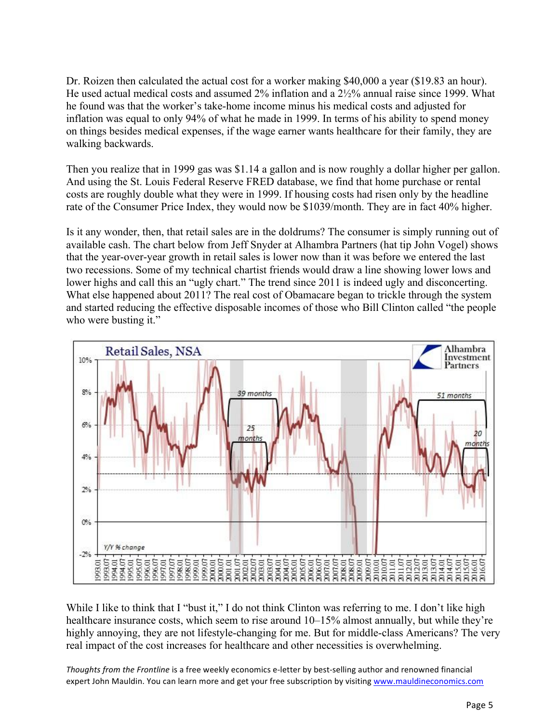Dr. Roizen then calculated the actual cost for a worker making \$40,000 a year (\$19.83 an hour). He used actual medical costs and assumed  $2\%$  inflation and a  $2\frac{1}{2}\%$  annual raise since 1999. What he found was that the worker's take-home income minus his medical costs and adjusted for inflation was equal to only 94% of what he made in 1999. In terms of his ability to spend money on things besides medical expenses, if the wage earner wants healthcare for their family, they are walking backwards.

Then you realize that in 1999 gas was \$1.14 a gallon and is now roughly a dollar higher per gallon. And using the St. Louis Federal Reserve FRED database, we find that home purchase or rental costs are roughly double what they were in 1999. If housing costs had risen only by the headline rate of the Consumer Price Index, they would now be \$1039/month. They are in fact 40% higher.

Is it any wonder, then, that retail sales are in the doldrums? The consumer is simply running out of available cash. The chart below from Jeff Snyder at Alhambra Partners (hat tip John Vogel) shows that the year-over-year growth in retail sales is lower now than it was before we entered the last two recessions. Some of my technical chartist friends would draw a line showing lower lows and lower highs and call this an "ugly chart." The trend since 2011 is indeed ugly and disconcerting. What else happened about 2011? The real cost of Obamacare began to trickle through the system and started reducing the effective disposable incomes of those who Bill Clinton called "the people who were busting it."



While I like to think that I "bust it," I do not think Clinton was referring to me. I don't like high healthcare insurance costs, which seem to rise around  $10-15%$  almost annually, but while they're highly annoying, they are not lifestyle-changing for me. But for middle-class Americans? The very real impact of the cost increases for healthcare and other necessities is overwhelming.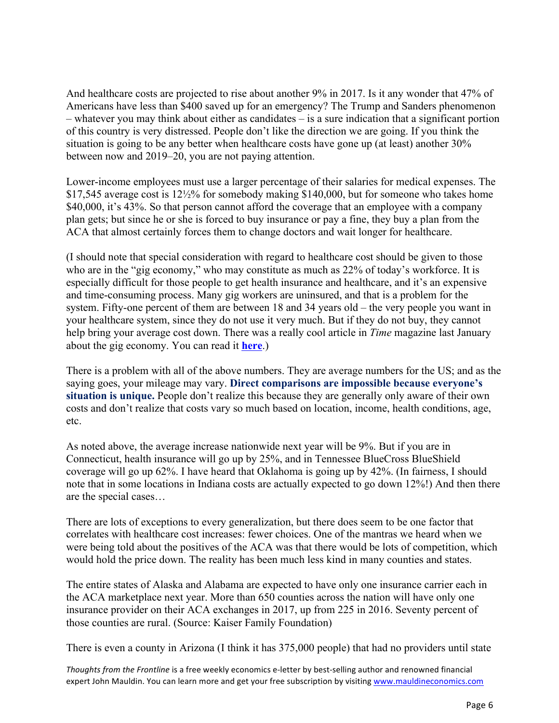And healthcare costs are projected to rise about another 9% in 2017. Is it any wonder that 47% of Americans have less than \$400 saved up for an emergency? The Trump and Sanders phenomenon – whatever you may think about either as candidates – is a sure indication that a significant portion of this country is very distressed. People don't like the direction we are going. If you think the situation is going to be any better when healthcare costs have gone up (at least) another 30% between now and 2019–20, you are not paying attention.

Lower-income employees must use a larger percentage of their salaries for medical expenses. The \$17,545 average cost is 12½% for somebody making \$140,000, but for someone who takes home \$40,000, it's 43%. So that person cannot afford the coverage that an employee with a company plan gets; but since he or she is forced to buy insurance or pay a fine, they buy a plan from the ACA that almost certainly forces them to change doctors and wait longer for healthcare.

(I should note that special consideration with regard to healthcare cost should be given to those who are in the "gig economy," who may constitute as much as 22% of today's workforce. It is especially difficult for those people to get health insurance and healthcare, and it's an expensive and time-consuming process. Many gig workers are uninsured, and that is a problem for the system. Fifty-one percent of them are between 18 and 34 years old – the very people you want in your healthcare system, since they do not use it very much. But if they do not buy, they cannot help bring your average cost down. There was a really cool article in *Time* magazine last January about the gig economy. You can read it **[here](http://time.com/4169532/sharing-economy-poll/)**.)

There is a problem with all of the above numbers. They are average numbers for the US; and as the saying goes, your mileage may vary. **Direct comparisons are impossible because everyone's situation is unique.** People don't realize this because they are generally only aware of their own costs and don't realize that costs vary so much based on location, income, health conditions, age, etc.

As noted above, the average increase nationwide next year will be 9%. But if you are in Connecticut, health insurance will go up by 25%, and in Tennessee BlueCross BlueShield coverage will go up 62%. I have heard that Oklahoma is going up by 42%. (In fairness, I should note that in some locations in Indiana costs are actually expected to go down 12%!) And then there are the special cases…

There are lots of exceptions to every generalization, but there does seem to be one factor that correlates with healthcare cost increases: fewer choices. One of the mantras we heard when we were being told about the positives of the ACA was that there would be lots of competition, which would hold the price down. The reality has been much less kind in many counties and states.

The entire states of Alaska and Alabama are expected to have only one insurance carrier each in the ACA marketplace next year. More than 650 counties across the nation will have only one insurance provider on their ACA exchanges in 2017, up from 225 in 2016. Seventy percent of those counties are rural. (Source: Kaiser Family Foundation)

There is even a county in Arizona (I think it has 375,000 people) that had no providers until state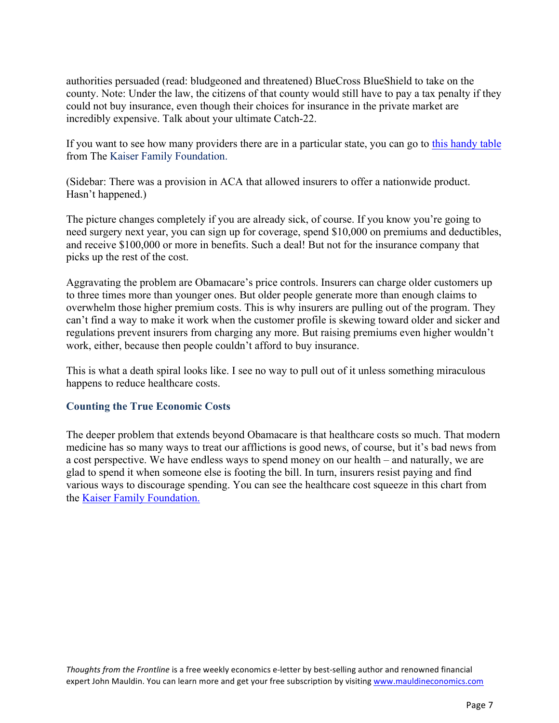authorities persuaded (read: bludgeoned and threatened) BlueCross BlueShield to take on the county. Note: Under the law, the citizens of that county would still have to pay a tax penalty if they could not buy insurance, even though their choices for insurance in the private market are incredibly expensive. Talk about your ultimate Catch-22.

If you want to see how many providers there are in a particular state, you can go to [this handy table](http://kff.org/other/state-indicator/number-of-issuers-participating-in-the-individual-health-insurance-marketplace/?currentTimeframe=0&sortModel=%7B%22colId%22:%22Location%22,%22sort%22:%22asc%22%7D) from The Kaiser Family Foundation.

(Sidebar: There was a provision in ACA that allowed insurers to offer a nationwide product. Hasn't happened.)

The picture changes completely if you are already sick, of course. If you know you're going to need surgery next year, you can sign up for coverage, spend \$10,000 on premiums and deductibles, and receive \$100,000 or more in benefits. Such a deal! But not for the insurance company that picks up the rest of the cost.

Aggravating the problem are Obamacare's price controls. Insurers can charge older customers up to three times more than younger ones. But older people generate more than enough claims to overwhelm those higher premium costs. This is why insurers are pulling out of the program. They can't find a way to make it work when the customer profile is skewing toward older and sicker and regulations prevent insurers from charging any more. But raising premiums even higher wouldn't work, either, because then people couldn't afford to buy insurance.

This is what a death spiral looks like. I see no way to pull out of it unless something miraculous happens to reduce healthcare costs.

### **Counting the True Economic Costs**

The deeper problem that extends beyond Obamacare is that healthcare costs so much. That modern medicine has so many ways to treat our afflictions is good news, of course, but it's bad news from a cost perspective. We have endless ways to spend money on our health – and naturally, we are glad to spend it when someone else is footing the bill. In turn, insurers resist paying and find various ways to discourage spending. You can see the healthcare cost squeeze in this chart from the [Kaiser Family Foundation.](http://kff.org/health-costs/press-release/average-annual-workplace-family-health-premiums-rise-modest-3-to-18142-in-2016-more-workers-enroll-in-high-deductible-plans-with-savings-option-over-past-two-years/)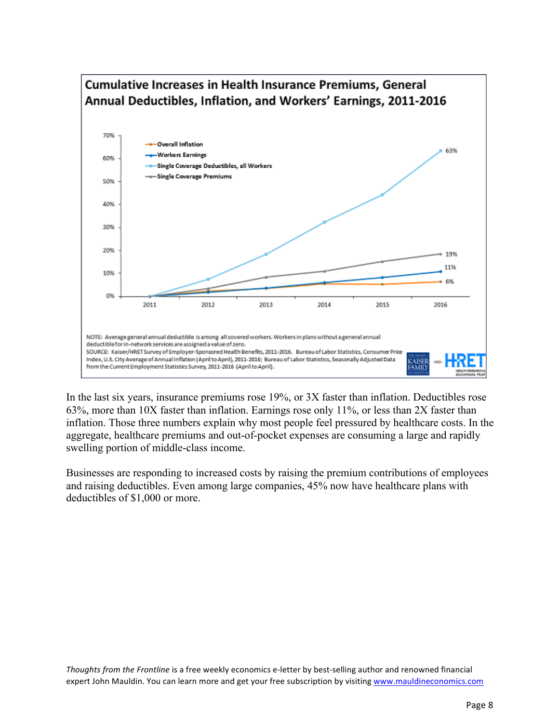

In the last six years, insurance premiums rose 19%, or 3X faster than inflation. Deductibles rose 63%, more than 10X faster than inflation. Earnings rose only 11%, or less than 2X faster than inflation. Those three numbers explain why most people feel pressured by healthcare costs. In the aggregate, healthcare premiums and out-of-pocket expenses are consuming a large and rapidly swelling portion of middle-class income.

Businesses are responding to increased costs by raising the premium contributions of employees and raising deductibles. Even among large companies, 45% now have healthcare plans with deductibles of \$1,000 or more.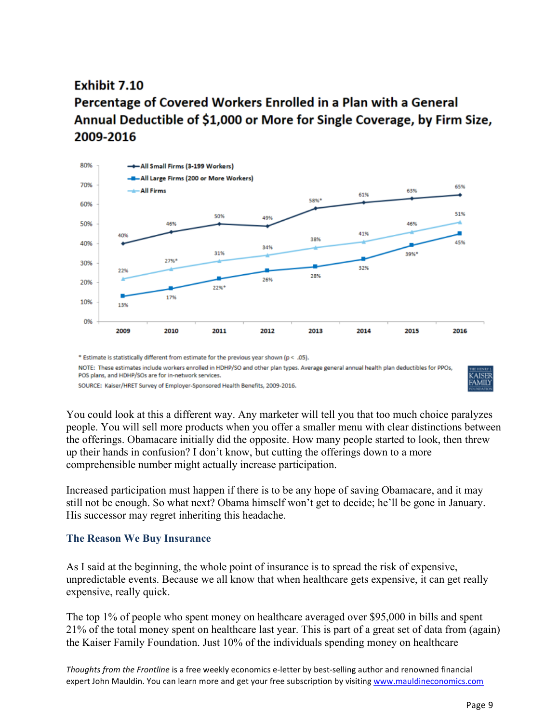# Exhibit 7.10 Percentage of Covered Workers Enrolled in a Plan with a General Annual Deductible of \$1,000 or More for Single Coverage, by Firm Size, 2009-2016



\* Estimate is statistically different from estimate for the previous year shown (p < .05). NOTE: These estimates include workers enrolled in HDHP/SO and other plan types. Average general annual health plan deductibles for PPOs, POS plans, and HDHP/SOs are for in-network services.

SOURCE: Kaiser/HRET Survey of Employer-Sponsored Health Benefits, 2009-2016.

You could look at this a different way. Any marketer will tell you that too much choice paralyzes people. You will sell more products when you offer a smaller menu with clear distinctions between the offerings. Obamacare initially did the opposite. How many people started to look, then threw up their hands in confusion? I don't know, but cutting the offerings down to a more comprehensible number might actually increase participation.

Increased participation must happen if there is to be any hope of saving Obamacare, and it may still not be enough. So what next? Obama himself won't get to decide; he'll be gone in January. His successor may regret inheriting this headache.

### **The Reason We Buy Insurance**

As I said at the beginning, the whole point of insurance is to spread the risk of expensive, unpredictable events. Because we all know that when healthcare gets expensive, it can get really expensive, really quick.

The top 1% of people who spent money on healthcare averaged over \$95,000 in bills and spent 21% of the total money spent on healthcare last year. This is part of a great set of data from (again) the Kaiser Family Foundation. Just 10% of the individuals spending money on healthcare

*Thoughts from the Frontline* is a free weekly economics e-letter by best-selling author and renowned financial expert John Mauldin. You can learn more and get your free subscription by visiting www.mauldineconomics.com

**AMIL**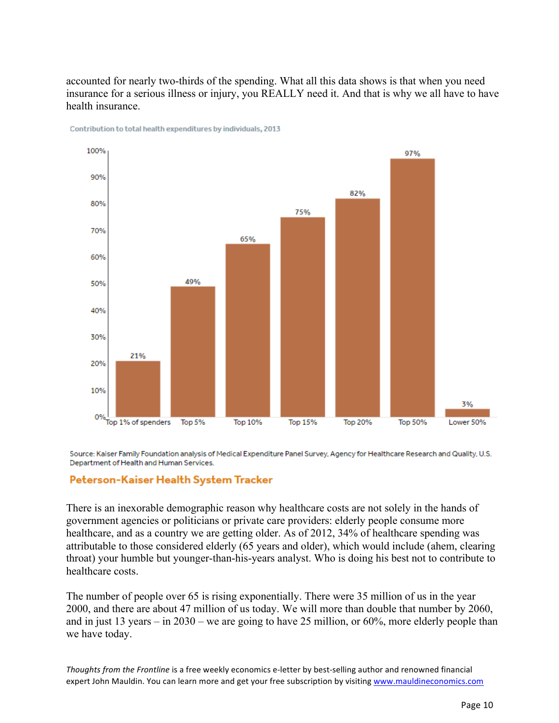accounted for nearly two-thirds of the spending. What all this data shows is that when you need insurance for a serious illness or injury, you REALLY need it. And that is why we all have to have health insurance.



Contribution to total health expenditures by individuals, 2013

Source: Kaiser Family Foundation analysis of Medical Expenditure Panel Survey, Agency for Healthcare Research and Quality, U.S. Department of Health and Human Services.

#### Peterson-Kaiser Health System Tracker

There is an inexorable demographic reason why healthcare costs are not solely in the hands of government agencies or politicians or private care providers: elderly people consume more healthcare, and as a country we are getting older. As of 2012, 34% of healthcare spending was attributable to those considered elderly (65 years and older), which would include (ahem, clearing throat) your humble but younger-than-his-years analyst. Who is doing his best not to contribute to healthcare costs.

The number of people over 65 is rising exponentially. There were 35 million of us in the year 2000, and there are about 47 million of us today. We will more than double that number by 2060, and in just 13 years – in 2030 – we are going to have 25 million, or 60%, more elderly people than we have today.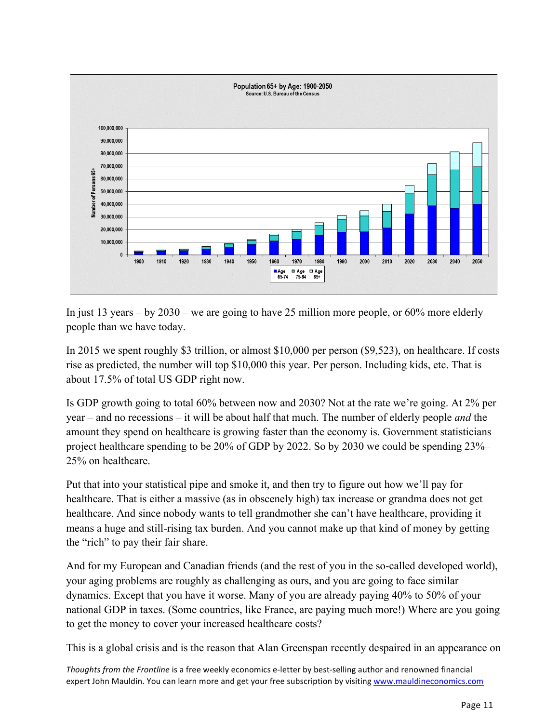

In just 13 years – by 2030 – we are going to have 25 million more people, or 60% more elderly people than we have today.

In 2015 we spent roughly \$3 trillion, or almost \$10,000 per person (\$9,523), on healthcare. If costs rise as predicted, the number will top \$10,000 this year. Per person. Including kids, etc. That is about 17.5% of total US GDP right now.

Is GDP growth going to total 60% between now and 2030? Not at the rate we're going. At 2% per year – and no recessions – it will be about half that much. The number of elderly people *and* the amount they spend on healthcare is growing faster than the economy is. Government statisticians project healthcare spending to be 20% of GDP by 2022. So by 2030 we could be spending 23%– 25% on healthcare.

Put that into your statistical pipe and smoke it, and then try to figure out how we'll pay for healthcare. That is either a massive (as in obscenely high) tax increase or grandma does not get healthcare. And since nobody wants to tell grandmother she can't have healthcare, providing it means a huge and still-rising tax burden. And you cannot make up that kind of money by getting the "rich" to pay their fair share.

And for my European and Canadian friends (and the rest of you in the so-called developed world), your aging problems are roughly as challenging as ours, and you are going to face similar dynamics. Except that you have it worse. Many of you are already paying 40% to 50% of your national GDP in taxes. (Some countries, like France, are paying much more!) Where are you going to get the money to cover your increased healthcare costs?

This is a global crisis and is the reason that Alan Greenspan recently despaired in an appearance on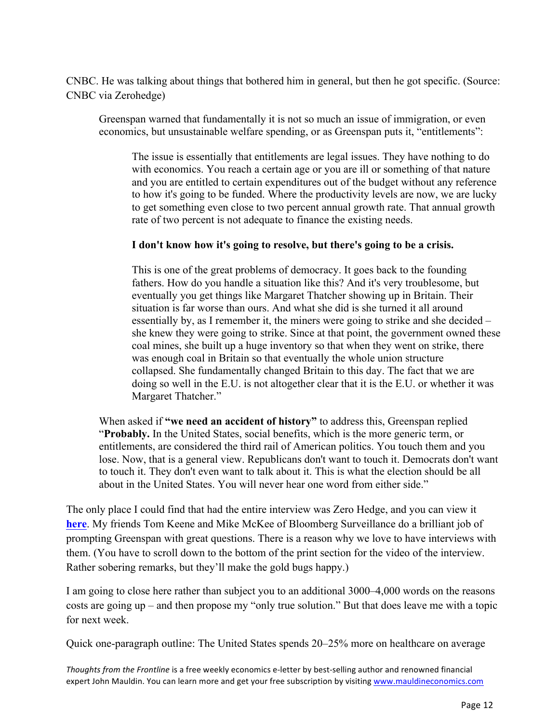CNBC. He was talking about things that bothered him in general, but then he got specific. (Source: CNBC via Zerohedge)

Greenspan warned that fundamentally it is not so much an issue of immigration, or even economics, but unsustainable welfare spending, or as Greenspan puts it, "entitlements":

The issue is essentially that entitlements are legal issues. They have nothing to do with economics. You reach a certain age or you are ill or something of that nature and you are entitled to certain expenditures out of the budget without any reference to how it's going to be funded. Where the productivity levels are now, we are lucky to get something even close to two percent annual growth rate. That annual growth rate of two percent is not adequate to finance the existing needs.

#### **I don't know how it's going to resolve, but there's going to be a crisis.**

This is one of the great problems of democracy. It goes back to the founding fathers. How do you handle a situation like this? And it's very troublesome, but eventually you get things like Margaret Thatcher showing up in Britain. Their situation is far worse than ours. And what she did is she turned it all around essentially by, as I remember it, the miners were going to strike and she decided – she knew they were going to strike. Since at that point, the government owned these coal mines, she built up a huge inventory so that when they went on strike, there was enough coal in Britain so that eventually the whole union structure collapsed. She fundamentally changed Britain to this day. The fact that we are doing so well in the E.U. is not altogether clear that it is the E.U. or whether it was Margaret Thatcher."

When asked if **"we need an accident of history"** to address this, Greenspan replied "**Probably.** In the United States, social benefits, which is the more generic term, or entitlements, are considered the third rail of American politics. You touch them and you lose. Now, that is a general view. Republicans don't want to touch it. Democrats don't want to touch it. They don't even want to talk about it. This is what the election should be all about in the United States. You will never hear one word from either side."

The only place I could find that had the entire interview was Zero Hedge, and you can view it **[here](http://www.zerohedge.com/news/2016-06-27/greenspan-warns-crisis-imminent-he-urges-return-gold-standard)**. My friends Tom Keene and Mike McKee of Bloomberg Surveillance do a brilliant job of prompting Greenspan with great questions. There is a reason why we love to have interviews with them. (You have to scroll down to the bottom of the print section for the video of the interview. Rather sobering remarks, but they'll make the gold bugs happy.)

I am going to close here rather than subject you to an additional 3000–4,000 words on the reasons costs are going up – and then propose my "only true solution." But that does leave me with a topic for next week.

Quick one-paragraph outline: The United States spends 20–25% more on healthcare on average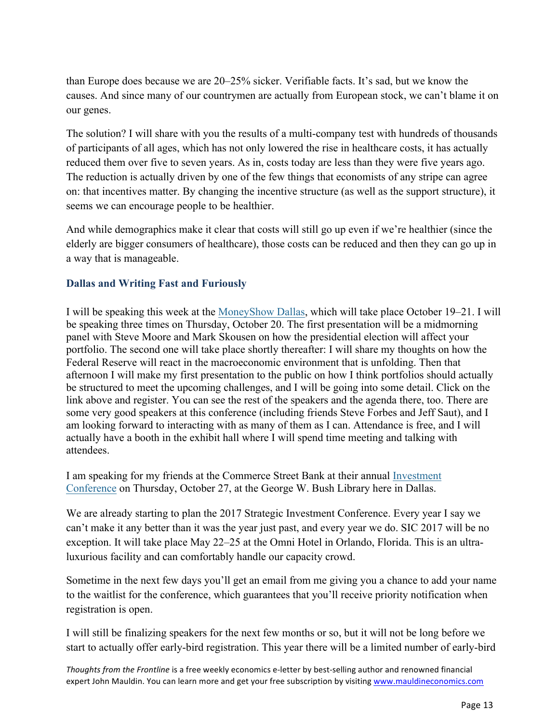than Europe does because we are 20–25% sicker. Verifiable facts. It's sad, but we know the causes. And since many of our countrymen are actually from European stock, we can't blame it on our genes.

The solution? I will share with you the results of a multi-company test with hundreds of thousands of participants of all ages, which has not only lowered the rise in healthcare costs, it has actually reduced them over five to seven years. As in, costs today are less than they were five years ago. The reduction is actually driven by one of the few things that economists of any stripe can agree on: that incentives matter. By changing the incentive structure (as well as the support structure), it seems we can encourage people to be healthier.

And while demographics make it clear that costs will still go up even if we're healthier (since the elderly are bigger consumers of healthcare), those costs can be reduced and then they can go up in a way that is manageable.

### **Dallas and Writing Fast and Furiously**

I will be speaking this week at the [MoneyShow Dallas,](http://dallasmoneyshow.com/?scode=041878) which will take place October 19–21. I will be speaking three times on Thursday, October 20. The first presentation will be a midmorning panel with Steve Moore and Mark Skousen on how the presidential election will affect your portfolio. The second one will take place shortly thereafter: I will share my thoughts on how the Federal Reserve will react in the macroeconomic environment that is unfolding. Then that afternoon I will make my first presentation to the public on how I think portfolios should actually be structured to meet the upcoming challenges, and I will be going into some detail. Click on the link above and register. You can see the rest of the speakers and the agenda there, too. There are some very good speakers at this conference (including friends Steve Forbes and Jeff Saut), and I am looking forward to interacting with as many of them as I can. Attendance is free, and I will actually have a booth in the exhibit hall where I will spend time meeting and talking with attendees.

[I am speaking for my friends at the Commerce Street Bank at their annual](https://www.commercestreetcapital.com/root/commercestreet/events.asp) Investment Conference on Thursday, October 27, at the George W. Bush Library here in Dallas.

We are already starting to plan the 2017 Strategic Investment Conference. Every year I say we can't make it any better than it was the year just past, and every year we do. SIC 2017 will be no exception. It will take place May 22–25 at the Omni Hotel in Orlando, Florida. This is an ultraluxurious facility and can comfortably handle our capacity crowd.

Sometime in the next few days you'll get an email from me giving you a chance to add your name to the waitlist for the conference, which guarantees that you'll receive priority notification when registration is open.

I will still be finalizing speakers for the next few months or so, but it will not be long before we start to actually offer early-bird registration. This year there will be a limited number of early-bird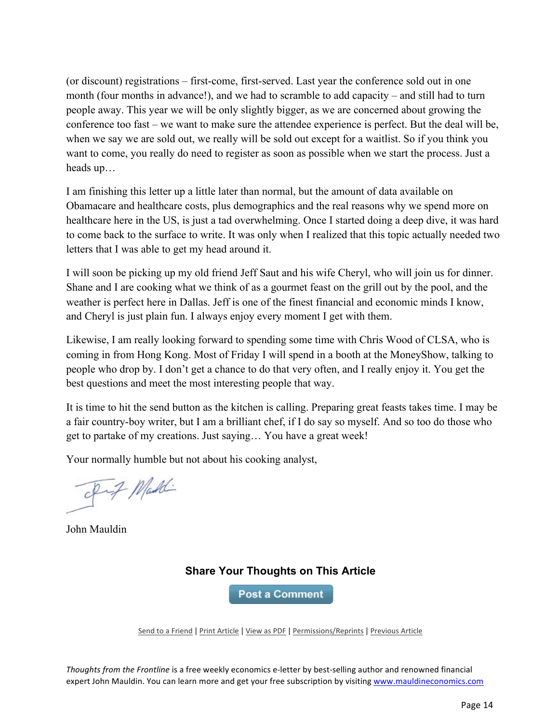(or discount) registrations – first-come, first-served. Last year the conference sold out in one month (four months in advance!), and we had to scramble to add capacity – and still had to turn people away. This year we will be only slightly bigger, as we are concerned about growing the conference too fast – we want to make sure the attendee experience is perfect. But the deal will be, when we say we are sold out, we really will be sold out except for a waitlist. So if you think you want to come, you really do need to register as soon as possible when we start the process. Just a heads up…

I am finishing this letter up a little later than normal, but the amount of data available on Obamacare and healthcare costs, plus demographics and the real reasons why we spend more on healthcare here in the US, is just a tad overwhelming. Once I started doing a deep dive, it was hard to come back to the surface to write. It was only when I realized that this topic actually needed two letters that I was able to get my head around it.

I will soon be picking up my old friend Jeff Saut and his wife Cheryl, who will join us for dinner. Shane and I are cooking what we think of as a gourmet feast on the grill out by the pool, and the weather is perfect here in Dallas. Jeff is one of the finest financial and economic minds I know, and Cheryl is just plain fun. I always enjoy every moment I get with them.

Likewise, I am really looking forward to spending some time with Chris Wood of CLSA, who is coming in from Hong Kong. Most of Friday I will spend in a booth at the MoneyShow, talking to people who drop by. I don't get a chance to do that very often, and I really enjoy it. You get the best questions and meet the most interesting people that way.

It is time to hit the send button as the kitchen is calling. Preparing great feasts takes time. I may be a fair country-boy writer, but I am a brilliant chef, if I do say so myself. And so too do those who get to partake of my creations. Just saying… You have a great week!

Your normally humble but not about his cooking analyst,

Fif Maddi

John Mauldin

## **Share Your Thoughts on This Article**

**Post a Comment** 

Send to a Friend | Print Article | View as PDF | Permissions/Reprints | Previous Article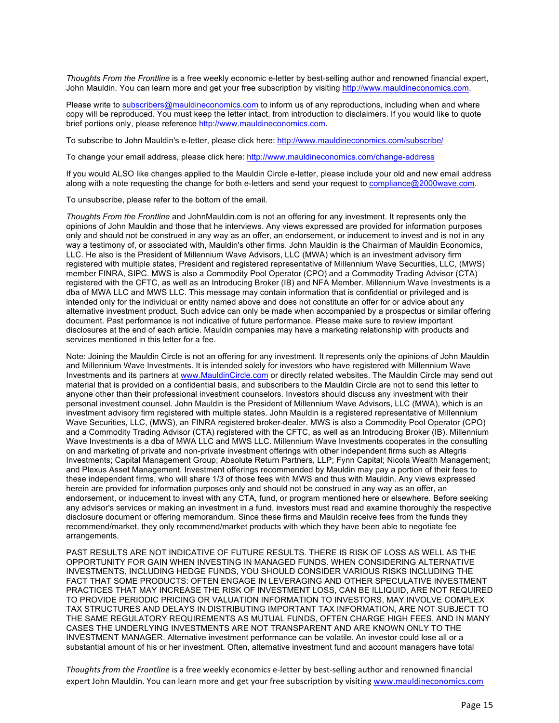*Thoughts From the Frontline* is a free weekly economic e-letter by best-selling author and renowned financial expert, John Mauldin. You can learn more and get your free subscription by visiting http://www.mauldineconomics.com.

Please write to subscribers@mauldineconomics.com to inform us of any reproductions, including when and where copy will be reproduced. You must keep the letter intact, from introduction to disclaimers. If you would like to quote brief portions only, please reference http://www.mauldineconomics.com.

To subscribe to John Mauldin's e-letter, please click here: http://www.mauldineconomics.com/subscribe/

To change your email address, please click here: http://www.mauldineconomics.com/change-address

If you would ALSO like changes applied to the Mauldin Circle e-letter, please include your old and new email address along with a note requesting the change for both e-letters and send your request to compliance@2000wave.com.

To unsubscribe, please refer to the bottom of the email.

*Thoughts From the Frontline* and JohnMauldin.com is not an offering for any investment. It represents only the opinions of John Mauldin and those that he interviews. Any views expressed are provided for information purposes only and should not be construed in any way as an offer, an endorsement, or inducement to invest and is not in any way a testimony of, or associated with, Mauldin's other firms. John Mauldin is the Chairman of Mauldin Economics, LLC. He also is the President of Millennium Wave Advisors, LLC (MWA) which is an investment advisory firm registered with multiple states, President and registered representative of Millennium Wave Securities, LLC, (MWS) member FINRA, SIPC. MWS is also a Commodity Pool Operator (CPO) and a Commodity Trading Advisor (CTA) registered with the CFTC, as well as an Introducing Broker (IB) and NFA Member. Millennium Wave Investments is a dba of MWA LLC and MWS LLC. This message may contain information that is confidential or privileged and is intended only for the individual or entity named above and does not constitute an offer for or advice about any alternative investment product. Such advice can only be made when accompanied by a prospectus or similar offering document. Past performance is not indicative of future performance. Please make sure to review important disclosures at the end of each article. Mauldin companies may have a marketing relationship with products and services mentioned in this letter for a fee.

Note: Joining the Mauldin Circle is not an offering for any investment. It represents only the opinions of John Mauldin and Millennium Wave Investments. It is intended solely for investors who have registered with Millennium Wave Investments and its partners at www.MauldinCircle.com or directly related websites. The Mauldin Circle may send out material that is provided on a confidential basis, and subscribers to the Mauldin Circle are not to send this letter to anyone other than their professional investment counselors. Investors should discuss any investment with their personal investment counsel. John Mauldin is the President of Millennium Wave Advisors, LLC (MWA), which is an investment advisory firm registered with multiple states. John Mauldin is a registered representative of Millennium Wave Securities, LLC, (MWS), an FINRA registered broker-dealer. MWS is also a Commodity Pool Operator (CPO) and a Commodity Trading Advisor (CTA) registered with the CFTC, as well as an Introducing Broker (IB). Millennium Wave Investments is a dba of MWA LLC and MWS LLC. Millennium Wave Investments cooperates in the consulting on and marketing of private and non-private investment offerings with other independent firms such as Altegris Investments; Capital Management Group; Absolute Return Partners, LLP; Fynn Capital; Nicola Wealth Management; and Plexus Asset Management. Investment offerings recommended by Mauldin may pay a portion of their fees to these independent firms, who will share 1/3 of those fees with MWS and thus with Mauldin. Any views expressed herein are provided for information purposes only and should not be construed in any way as an offer, an endorsement, or inducement to invest with any CTA, fund, or program mentioned here or elsewhere. Before seeking any advisor's services or making an investment in a fund, investors must read and examine thoroughly the respective disclosure document or offering memorandum. Since these firms and Mauldin receive fees from the funds they recommend/market, they only recommend/market products with which they have been able to negotiate fee arrangements.

PAST RESULTS ARE NOT INDICATIVE OF FUTURE RESULTS. THERE IS RISK OF LOSS AS WELL AS THE OPPORTUNITY FOR GAIN WHEN INVESTING IN MANAGED FUNDS. WHEN CONSIDERING ALTERNATIVE INVESTMENTS, INCLUDING HEDGE FUNDS, YOU SHOULD CONSIDER VARIOUS RISKS INCLUDING THE FACT THAT SOME PRODUCTS: OFTEN ENGAGE IN LEVERAGING AND OTHER SPECULATIVE INVESTMENT PRACTICES THAT MAY INCREASE THE RISK OF INVESTMENT LOSS, CAN BE ILLIQUID, ARE NOT REQUIRED TO PROVIDE PERIODIC PRICING OR VALUATION INFORMATION TO INVESTORS, MAY INVOLVE COMPLEX TAX STRUCTURES AND DELAYS IN DISTRIBUTING IMPORTANT TAX INFORMATION, ARE NOT SUBJECT TO THE SAME REGULATORY REQUIREMENTS AS MUTUAL FUNDS, OFTEN CHARGE HIGH FEES, AND IN MANY CASES THE UNDERLYING INVESTMENTS ARE NOT TRANSPARENT AND ARE KNOWN ONLY TO THE INVESTMENT MANAGER. Alternative investment performance can be volatile. An investor could lose all or a substantial amount of his or her investment. Often, alternative investment fund and account managers have total